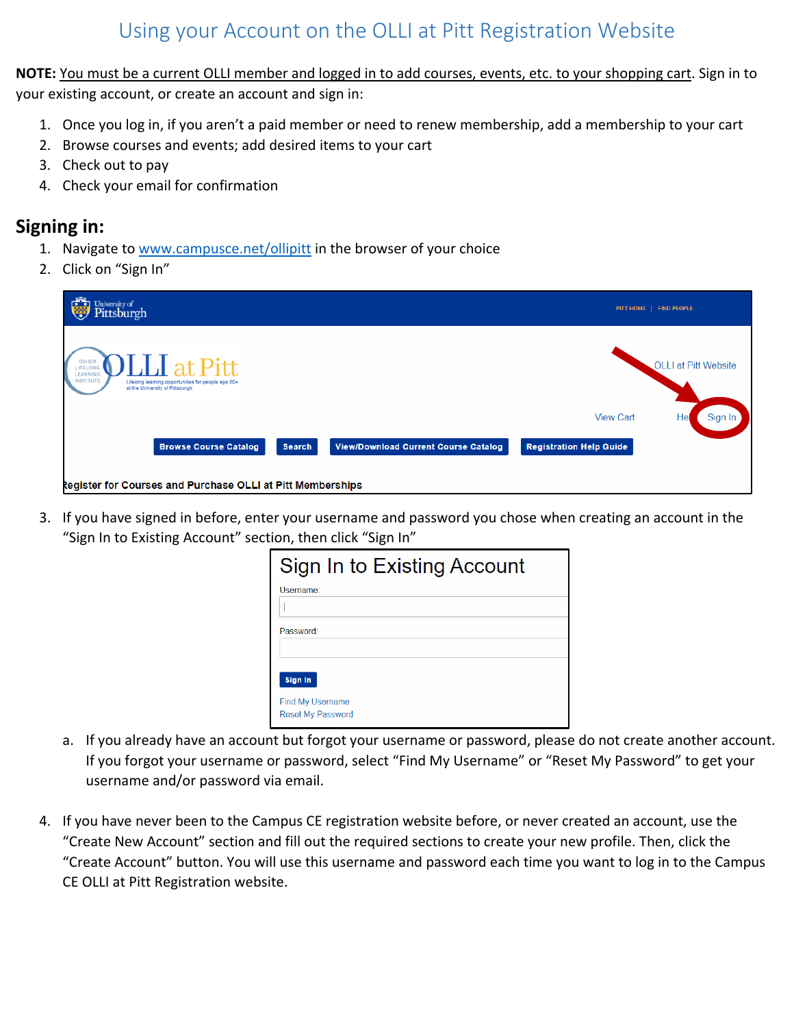# Using your Account on the OLLI at Pitt Registration Website

**NOTE:** You must be a current OLLI member and logged in to add courses, events, etc. to your shopping cart. Sign in to your existing account, or create an account and sign in:

- 1. Once you log in, if you aren't a paid member or need to renew membership, add a membership to your cart
- 2. Browse courses and events; add desired items to your cart
- 3. Check out to pay
- 4. Check your email for confirmation

### **Signing in:**

- 1. Navigate to [www.campusce.net/ollipitt](http://www.campusce.net/ollipitt) in the browser of your choice
- 2. Click on "Sign In"

| University of Pittsburgh                                                                                                                                              |                                | PITT HOME   FIND PEOPLE     |
|-----------------------------------------------------------------------------------------------------------------------------------------------------------------------|--------------------------------|-----------------------------|
| $\rm M_{\rm J}$ at Pitt<br>OSHER<br>LIFELONG<br>LEARNING<br><b>INSTITUTE</b><br>Lifelong learning opportunities for people age 50+<br>at the University of Pittsburgh |                                | <b>OLLI at Pitt Website</b> |
|                                                                                                                                                                       | <b>View Cart</b>               | Sign In                     |
| <b>Browse Course Catalog</b><br><b>Search</b><br><b>View/Download Current Course Catalog</b>                                                                          | <b>Registration Help Guide</b> |                             |
| <b>Register for Courses and Purchase OLLI at Pitt Memberships</b>                                                                                                     |                                |                             |

3. If you have signed in before, enter your username and password you chose when creating an account in the "Sign In to Existing Account" section, then click "Sign In"

| Sign In to Existing Account                         |  |  |
|-----------------------------------------------------|--|--|
| Username:                                           |  |  |
|                                                     |  |  |
| Password:                                           |  |  |
|                                                     |  |  |
| Sign In                                             |  |  |
| <b>Find My Username</b><br><b>Reset My Password</b> |  |  |

- a. If you already have an account but forgot your username or password, please do not create another account. If you forgot your username or password, select "Find My Username" or "Reset My Password" to get your username and/or password via email.
- 4. If you have never been to the Campus CE registration website before, or never created an account, use the "Create New Account" section and fill out the required sections to create your new profile. Then, click the "Create Account" button. You will use this username and password each time you want to log in to the Campus CE OLLI at Pitt Registration website.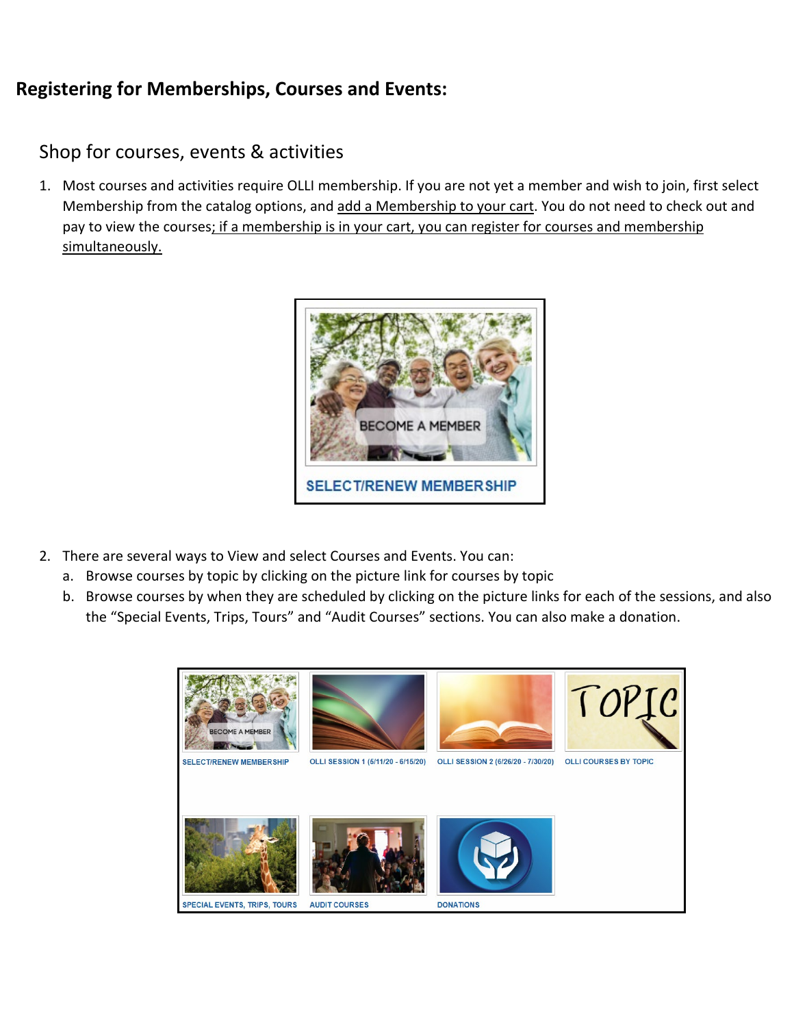# **Registering for Memberships, Courses and Events:**

## Shop for courses, events & activities

1. Most courses and activities require OLLI membership. If you are not yet a member and wish to join, first select Membership from the catalog options, and add a Membership to your cart. You do not need to check out and pay to view the courses; if a membership is in your cart, you can register for courses and membership simultaneously.



- 2. There are several ways to View and select Courses and Events. You can:
	- a. Browse courses by topic by clicking on the picture link for courses by topic
	- b. Browse courses by when they are scheduled by clicking on the picture links for each of the sessions, and also the "Special Events, Trips, Tours" and "Audit Courses" sections. You can also make a donation.

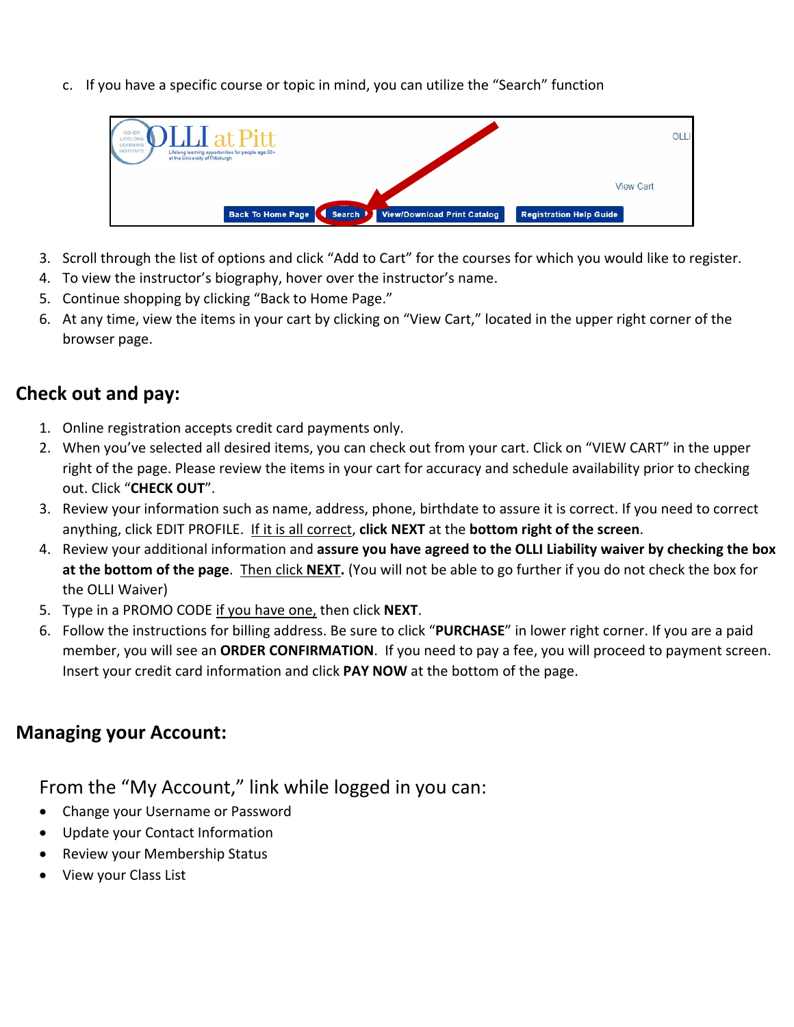c. If you have a specific course or topic in mind, you can utilize the "Search" function



- 3. Scroll through the list of options and click "Add to Cart" for the courses for which you would like to register.
- 4. To view the instructor's biography, hover over the instructor's name.
- 5. Continue shopping by clicking "Back to Home Page."
- 6. At any time, view the items in your cart by clicking on "View Cart," located in the upper right corner of the browser page.

## **Check out and pay:**

- 1. Online registration accepts credit card payments only.
- 2. When you've selected all desired items, you can check out from your cart. Click on "VIEW CART" in the upper right of the page. Please review the items in your cart for accuracy and schedule availability prior to checking out. Click "**CHECK OUT**".
- 3. Review your information such as name, address, phone, birthdate to assure it is correct. If you need to correct anything, click EDIT PROFILE. If it is all correct, **click NEXT** at the **bottom right of the screen**.
- 4. Review your additional information and **assure you have agreed to the OLLI Liability waiver by checking the box at the bottom of the page**. Then click **NEXT.** (You will not be able to go further if you do not check the box for the OLLI Waiver)
- 5. Type in a PROMO CODE if you have one, then click **NEXT**.
- 6. Follow the instructions for billing address. Be sure to click "**PURCHASE**" in lower right corner. If you are a paid member, you will see an **ORDER CONFIRMATION**. If you need to pay a fee, you will proceed to payment screen. Insert your credit card information and click **PAY NOW** at the bottom of the page.

## **Managing your Account:**

From the "My Account," link while logged in you can:

- Change your Username or Password
- Update your Contact Information
- Review your Membership Status
- View your Class List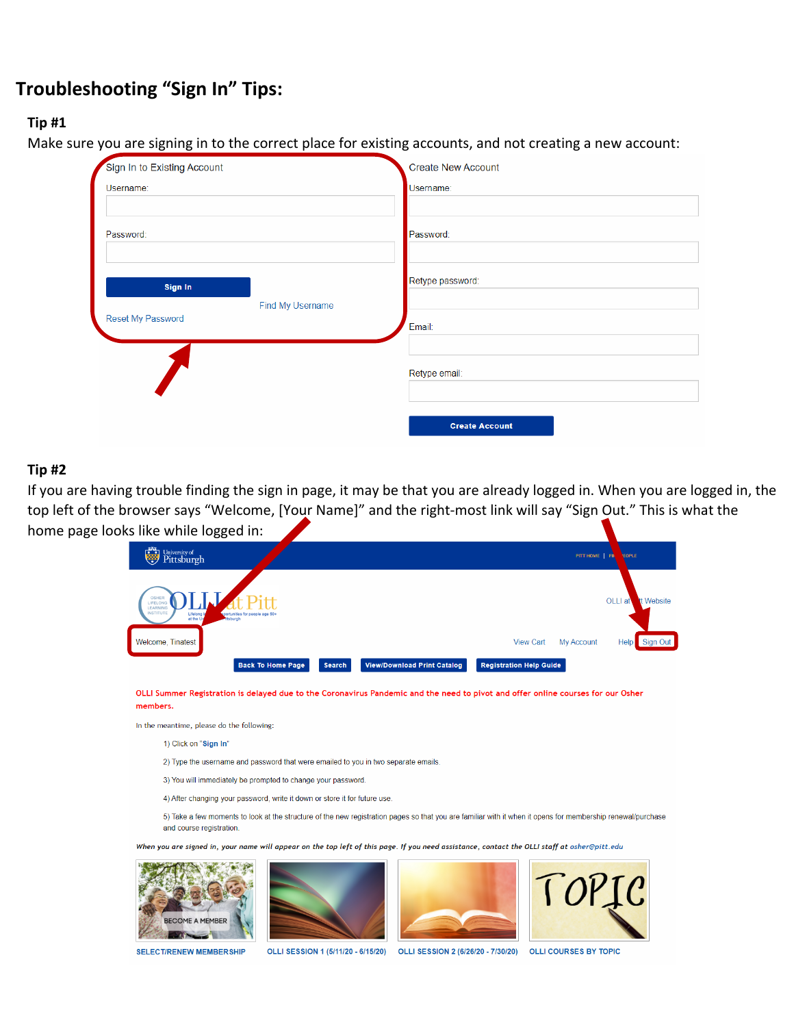# **Troubleshooting "Sign In" Tips:**

#### **Tip #1**

Make sure you are signing in to the correct place for existing accounts, and not creating a new account:

| Sign In to Existing Account | <b>Create New Account</b> |
|-----------------------------|---------------------------|
| Username:                   | Username:                 |
|                             |                           |
| Password:                   | Password:                 |
|                             |                           |
| Sign In                     | Retype password:          |
| Find My Username            |                           |
| Reset My Password           | Email:                    |
|                             |                           |
|                             | Retype email:             |
|                             |                           |
|                             | <b>Create Account</b>     |
|                             |                           |

#### **Tip #2**

If you are having trouble finding the sign in page, it may be that you are already logged in. When you are logged in, the top left of the browser says "Welcome, [Your Name]" and the right-most link will say "Sign Out." This is what the home page looks like while logged in:

| University of Pittsburgh                                                                                                                     | PITT HOME   FIN<br><b>EOPLE</b>                           |
|----------------------------------------------------------------------------------------------------------------------------------------------|-----------------------------------------------------------|
| <b>OSHER</b><br>LIFELONG<br>LEARNING<br><b>INSTITUTE</b><br>Lifelong is<br>sportunities for people age 50+<br>at the Un<br><b>Ittsburgh</b>  | OLLI at<br>tt Website                                     |
| Welcome, Tinatest                                                                                                                            | Sign Out<br><b>My Account</b><br><b>View Cart</b><br>Help |
| <b>Back To Home Page</b><br><b>View/Download Print Catalog</b><br><b>Search</b>                                                              | <b>Registration Help Guide</b>                            |
| OLLI Summer Registration is delayed due to the Coronavirus Pandemic and the need to pivot and offer online courses for our Osher<br>members. |                                                           |
| In the meantime, please do the following:                                                                                                    |                                                           |
| $\Lambda$ Clieb on "Biggs In"                                                                                                                |                                                           |

1) Click on "Sign In

2) Type the username and password that were emailed to you in two separate emails.

3) You will immediately be prompted to change your password.

4) After changing your password, write it down or store it for future use

5) Take a few moments to look at the structure of the new registration pages so that you are familiar with it when it opens for membership renewal/purchase and course registration

ou are signed in, your name will appear on the top left of this page. If you need assistance, contact the OLLI staff at osher@pitt.edu









**SELECT/RENEW MEMBER SHIP** 

OLLI SESSION 1 (5/11/20 - 6/15/20) OLLI SESSION 2 (6/26/20 - 7/30/20) OLLI COURSES BY TOPIC